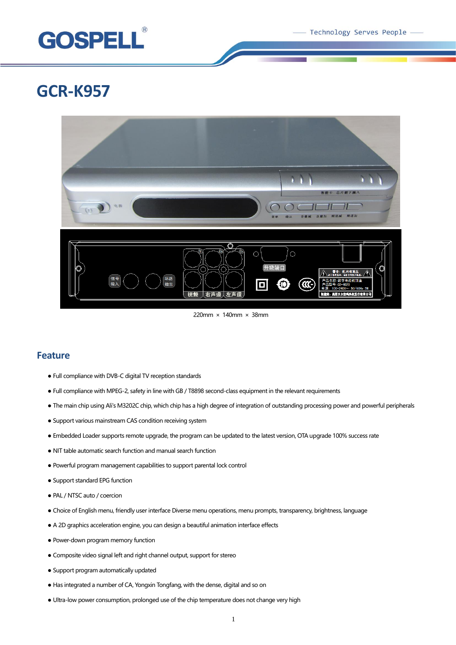

# **GCR-K957**



220mm × 140mm × 38mm

#### **Feature**

- Full compliance with DVB-C digital TV reception standards
- Full compliance with MPEG-2, safety in line with GB / T8898 second-class equipment in the relevant requirements
- The main chip using Ali's M3202C chip, which chip has a high degree of integration of outstanding processing power and powerful peripherals
- Support various mainstream CAS condition receiving system
- Embedded Loader supports remote upgrade, the program can be updated to the latest version, OTA upgrade 100% success rate
- NIT table automatic search function and manual search function
- Powerful program management capabilities to support parental lock control
- Support standard EPG function
- PAL / NTSC auto / coercion
- Choice of English menu, friendly user interface Diverse menu operations, menu prompts, transparency, brightness, language
- A 2D graphics acceleration engine, you can design a beautiful animation interface effects
- Power-down program memory function
- Composite video signal left and right channel output, support for stereo
- Support program automatically updated
- Has integrated a number of CA, Yongxin Tongfang, with the dense, digital and so on
- Ultra-low power consumption, prolonged use of the chip temperature does not change very high